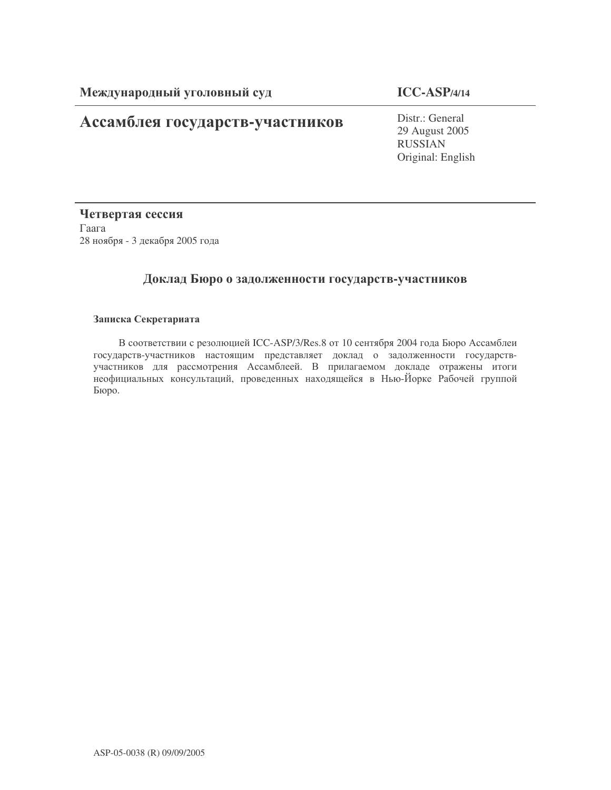# Ассамблея государств-участников

Distr.: General 29 August 2005 RUSSIAN Original: English

Четвертая сессия  $\Gamma$ aara 28 ноября - 3 декабря 2005 года

# Доклад Бюро о задолженности государств-участников

### Записка Секретариата

В соответствии с резолюцией ICC-ASP/3/Res.8 от 10 сентября 2004 года Бюро Ассамблеи государств-участников настоящим представляет доклад о задолженности государствучастников для рассмотрения Ассамблеей. В прилагаемом докладе отражены итоги неофициальных консультаций, проведенных находящейся в Нью-Йорке Рабочей группой Бюро.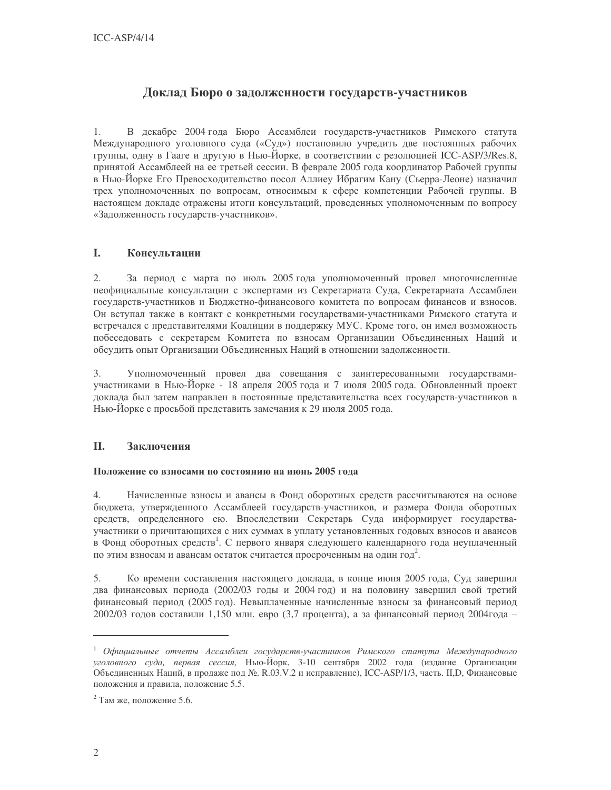## Доклад Бюро о задолженности государств-участников

В декабре 2004 года Бюро Ассамблеи государств-участников Римского статута  $1.$ Международного уголовного суда («Суд») постановило учредить две постоянных рабочих группы, одну в Гааге и другую в Нью-Йорке, в соответствии с резолюцией ICC-ASP/3/Res.8, принятой Ассамблеей на ее третьей сессии. В феврале 2005 года координатор Рабочей группы в Нью-Йорке Его Превосходительство посол Аллиеу Ибрагим Кану (Сьерра-Леоне) назначил трех уполномоченных по вопросам, относимым к сфере компетенции Рабочей группы. В настоящем докладе отражены итоги консультаций, проведенных уполномоченным по вопросу «Задолженность государств-участников».

#### I. Консультации

 $2.$ За период с марта по июль 2005 года уполномоченный провел многочисленные неофициальные консультации с экспертами из Секретариата Суда, Секретариата Ассамблеи государств-участников и Бюджетно-финансового комитета по вопросам финансов и взносов. Он вступал также в контакт с конкретными государствами-участниками Римского статута и встречался с представителями Коалиции в поддержку МУС. Кроме того, он имел возможность побеседовать с секретарем Комитета по взносам Организации Объединенных Наций и обсудить опыт Организации Объединенных Наций в отношении задолженности.

 $\overline{3}$ . Уполномоченный провел два совещания с заинтересованными государствамиучастниками в Нью-Йорке - 18 апреля 2005 года и 7 июля 2005 года. Обновленный проект доклада был затем направлен в постоянные представительства всех государств-участников в Нью-Йорке с просьбой представить замечания к 29 июля 2005 года.

#### II. Заключения

### Положение со взносами по состоянию на июнь 2005 года

 $4.$ Начисленные взносы и авансы в Фонд оборотных средств рассчитываются на основе бюджета, утвержденного Ассамблеей государств-участников, и размера Фонда оборотных средств, определенного ею. Впоследствии Секретарь Суда информирует государстваучастники о причитающихся с них суммах в уплату установленных годовых взносов и авансов в Фонд оборотных средств<sup>1</sup>. С первого января следующего календарного года неуплаченный по этим взносам и авансам остаток считается просроченным на один год<sup>2</sup>.

Ко времени составления настоящего доклада, в конце июня 2005 года, Суд завершил 5. два финансовых периода (2002/03 годы и 2004 год) и на половину завершил свой третий финансовый период (2005 год). Невыплаченные начисленные взносы за финансовый период 2002/03 годов составили 1,150 млн. евро (3,7 процента), а за финансовый период 2004года -

 $1$  Официальные отчеты Ассамблеи государств-участников Римского статута Международного уголовного суда, первая сессия, Нью-Йорк, 3-10 сентября 2002 года (издание Организации .<br>Объединенных Наций, в продаже под №. R.03.V.2 и исправление), ICC-ASP/1/3, часть. II,D, Финансовые положения и правила, положение 5.5.

<sup>&</sup>lt;sup>2</sup> Там же, положение 5.6.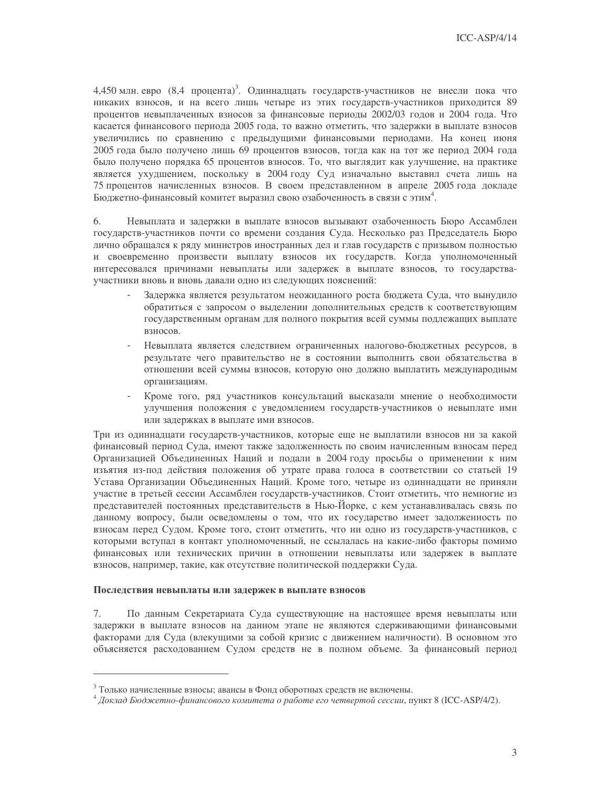4,450 млн. евро (8,4 процента)<sup>3</sup>. Одиннадцать государств-участников не внесли пока что никаких взносов, и на всего лишь четыре из этих государств-участников приходится 89 процентов невыплаченных взносов за финансовые периоды 2002/03 годов и 2004 года. Что касается финансового периода 2005 года, то важно отметить, что задержки в выплате взносов увеличились по сравнению с предыдущими финансовыми периодами. На конец июня 2005 года было получено лишь 69 процентов взносов, тогда как на тот же период 2004 года было получено порядка 65 процентов взносов. То, что выглядит как улучшение, на практике является ухудшением, поскольку в 2004 году Суд изначально выставил счета лишь на 75 процентов начисленных взносов. В своем представленном в апреле 2005 года докладе Бюджетно-финансовый комитет выразил свою озабоченность в связи с этим<sup>4</sup>.

6. Невыплата и задержки в выплате взносов вызывают озабоченность Бюро Ассамблеи государств-участников почти со времени создания Суда. Несколько раз Председатель Бюро лично обращался к ряду министров иностранных дел и глав государств с призывом полностью и своевременно произвести выплату взносов их государств. Когда уполномоченный интересовался причинами невыплаты или задержек в выплате взносов, то государстваучастники вновь и вновь давали одно из следующих пояснений:

- Задержка является результатом неожиданного роста бюджета Суда, что вынудило обратиться с запросом о выделении дополнительных средств к соответствующим государственным органам для полного покрытия всей суммы подлежащих выплате взносов.
- Невыплата является следствием ограниченных налогово-бюджетных ресурсов, в результате чего правительство не в состоянии выполнить свои обязательства в отношении всей суммы взносов, которую оно должно выплатить международным организациям.
- Кроме того, ряд участников консультаций высказали мнение о необходимости улучшения положения с уведомлением государств-участников о невыплате ими или задержках в выплате ими взносов.

Три из одиннадцати государств-участников, которые еще не выплатили взносов ни за какой финансовый период Суда, имеют также задолженность по своим начисленным взносам перед Организацией Объединенных Наций и подали в 2004 году просьбы о применении к ним изъятия из-под действия положения об утрате права голоса в соответствии со статьей 19 Устава Организации Объединенных Наций. Кроме того, четыре из одиннадцати не приняли участие в третьей сессии Ассамблеи государств-участников. Стоит отметить, что немногие из представителей постоянных представительств в Нью-Йорке, с кем устанавливалась связь по данному вопросу, были осведомлены о том, что их государство имеет задолженность по взносам перед Судом. Кроме того, стоит отметить, что ни одно из государств-участников, с которыми вступал в контакт уполномоченный, не ссылалась на какие-либо факторы помимо финансовых или технических причин в отношении невыплаты или задержек в выплате взносов, например, такие, как отсутствие политической поддержки Суда.

#### Последствия невыплаты или задержек в выплате взносов

 $7.$ По данным Секретариата Суда существующие на настоящее время невыплаты или задержки в выплате взносов на данном этапе не являются сдерживающими финансовыми факторами для Суда (влекущими за собой кризис с движением наличности). В основном это объясняется расходованием Судом средств не в полном объеме. За финансовый период

<sup>&</sup>lt;sup>3</sup> Только начисленные взносы; авансы в Фонд оборотных средств не включены.

 $4\,$ Доклад Бюджетно-финансового комитета о работе его четвертой сессии, пункт 8 (ICC-ASP/4/2).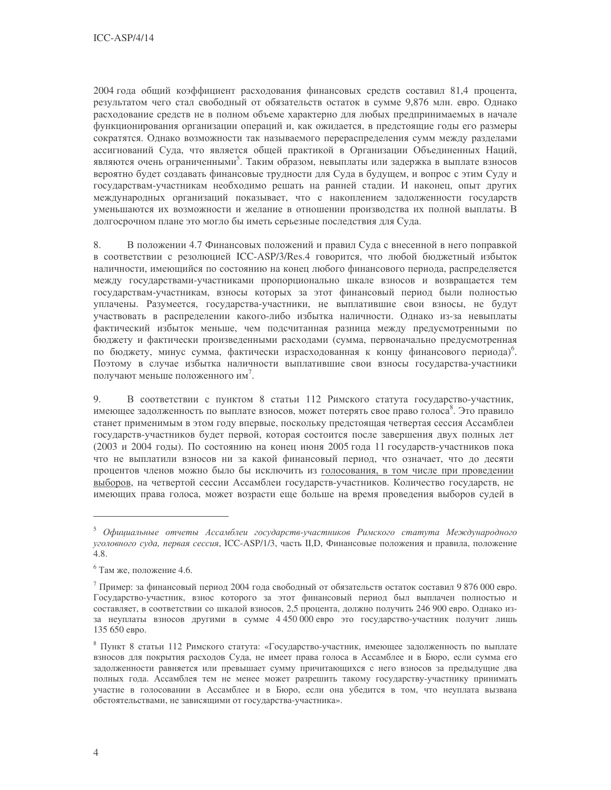2004 года общий коэффициент расходования финансовых средств составил 81,4 процента, результатом чего стал свободный от обязательств остаток в сумме 9,876 млн. евро. Однако расходование средств не в полном объеме характерно для любых предпринимаемых в начале функционирования организации операций и, как ожидается, в предстоящие годы его размеры сократятся. Однако возможности так называемого перераспределения сумм между разделами ассигнований Сула, что является обшей практикой в Организации Объелиненных Наций, являются очень ограниченными<sup>5</sup>. Таким образом, невыплаты или задержка в выплате взносов вероятно будет создавать финансовые трудности для Суда в будущем, и вопрос с этим Суду и государствам-участникам необходимо решать на ранней стадии. И наконец, опыт других международных организаций показывает, что с накоплением задолженности государств уменьшаются их возможности и желание в отношении производства их полной выплаты. В лолгосрочном плане это могло бы иметь серьезные последствия для Суда.

8. В положении 4.7 Финансовых положений и правил Суда с внесенной в него поправкой в соответствии с резолюцией ICC-ASP/3/Res.4 говорится, что любой бюджетный избыток наличности, имеющийся по состоянию на конец любого финансового периода, распределяется между государствами-участниками пропорционально шкале взносов и возвращается тем государствам-участникам, взносы которых за этот финансовый период были полностью уплачены. Разумеется, государства-участники, не выплатившие свои взносы, не будут участвовать в распределении какого-либо избытка наличности. Однако из-за невыплаты фактический избыток меньше, чем подсчитанная разница между предусмотренными по бюджету и фактически произведенными расходами (сумма, первоначально предусмотренная по бюджету, минус сумма, фактически израсходованная к концу финансового периода)<sup>6</sup>. Поэтому в случае избытка наличности выплатившие свои взносы государства-участники получают меньше положенного им<sup>7</sup>.

9. В соответствии с пунктом 8 статьи 112 Римского статута государство-участник, имеющее задолженность по выплате взносов, может потерять свое право голоса<sup>8</sup>. Это правило станет применимым в этом году впервые, поскольку предстоящая четвертая сессия Ассамблеи государств-участников будет первой, которая состоится после завершения двух полных лет (2003 и 2004 годы). По состоянию на конец июня 2005 года 11 государств-участников пока что не выплатили взносов ни за какой финансовый период, что означает, что до десяти процентов членов можно было бы исключить из голосования, в том числе при проведении выборов, на четвертой сессии Ассамблеи государств-участников. Количество государств, не имеющих права голоса, может возрасти еще больше на время проведения выборов судей в

<sup>5</sup> Официальные отчеты Ассамблеи государств-участников Римского статута Международного уголовного суда, первая сессия, ICC-ASP/1/3, часть II, D, Финансовые положения и правила, положение 4.8.

 $6$  Там же, положение 4.6.

 $^7$  Пример: за финансовый период 2004 года свободный от обязательств остаток составил 9 876 000 евро. Государство-участник, взнос которого за этот финансовый период был выплачен полностью и составляет, в соответствии со шкалой взносов, 2,5 процента, должно получить 246 900 евро. Однако изза неуплаты взносов другими в сумме 4 450 000 евро это государство-участник получит лишь 135 650 евро.

<sup>&</sup>lt;sup>8</sup> Пункт 8 статьи 112 Римского статута: «Государство-участник, имеющее задолженность по выплате взносов для покрытия расходов Суда, не имеет права голоса в Ассамблее и в Бюро, если сумма его задолженности равняется или превышает сумму причитающихся с него взносов за предыдущие два полных года. Ассамблея тем не менее может разрешить такому государству-участнику принимать участие в голосовании в Ассамблее и в Бюро, если она убедится в том, что неуплата вызвана обстоятельствами, не зависящими от государства-участника».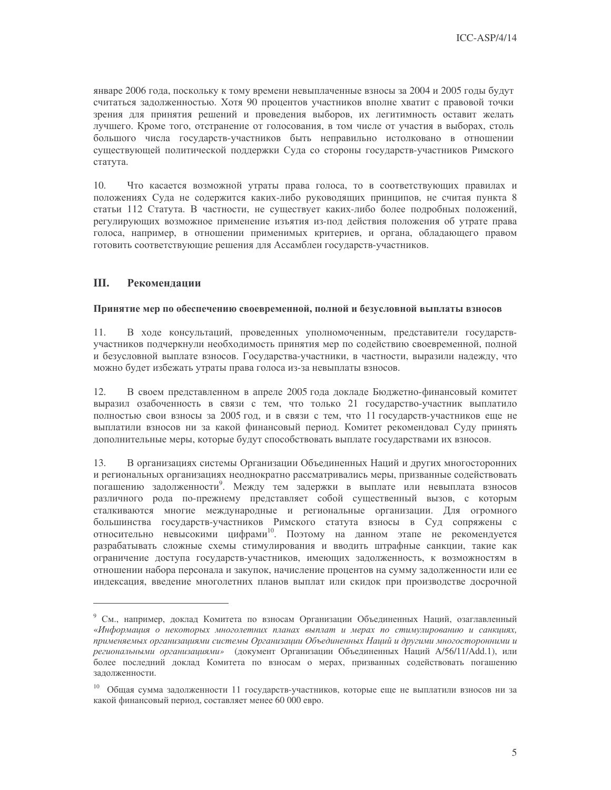январе 2006 года, поскольку к тому времени невыплаченные взносы за 2004 и 2005 годы будут считаться задолженностью. Хотя 90 процентов участников вполне хватит с правовой точки зрения для принятия решений и проведения выборов, их легитимность оставит желать лучшего. Кроме того, отстранение от голосования, в том числе от участия в выборах, столь большого числа государств-участников быть неправильно истолковано в отношении существующей политической поддержки Суда со стороны государств-участников Римского статута.

 $10.$ Что касается возможной утраты права голоса, то в соответствующих правилах и положениях Суда не содержится каких-либо руководящих принципов, не считая пункта 8 статьи 112 Статута. В частности, не существует каких-либо более подробных положений, регулирующих возможное применение изъятия из-под действия положения об утрате права голоса, например, в отношении применимых критериев, и органа, обладающего правом готовить соответствующие решения для Ассамблеи государств-участников.

#### III. Рекомендации

### Принятие мер по обеспечению своевременной, полной и безусловной выплаты взносов

В ходе консультаций, проведенных уполномоченным, представители государств-11 участников подчеркнули необходимость принятия мер по содействию своевременной, полной и безусловной выплате взносов. Государства-участники, в частности, выразили надежду, что можно будет избежать утраты права голоса из-за невыплаты взносов.

12. В своем представленном в апреле 2005 года докладе Бюджетно-финансовый комитет выразил озабоченность в связи с тем, что только 21 государство-участник выплатило полностью свои взносы за 2005 год, и в связи с тем, что 11 государств-участников еще не выплатили взносов ни за какой финансовый период. Комитет рекомендовал Суду принять дополнительные меры, которые будут способствовать выплате государствами их взносов.

13. В организациях системы Организации Объединенных Наций и других многосторонних и региональных организациях неоднократно рассматривались меры, призванные содействовать погашению задолженности". Между тем задержки в выплате или невыплата взносов различного рода по-прежнему представляет собой существенный вызов, с которым сталкиваются многие международные и региональные организации. Для огромного большинства государств-участников Римского статута взносы в Суд сопряжены с относительно невысокими цифрами<sup>10</sup>. Поэтому на данном этапе не рекомендуется разрабатывать сложные схемы стимулирования и вводить штрафные санкции, такие как ограничение доступа государств-участников, имеющих задолженность, к возможностям в отношении набора персонала и закупок, начисление процентов на сумму задолженности или ее индексация, введение многолетних планов выплат или скидок при производстве досрочной

<sup>&</sup>lt;sup>9</sup> См., например, доклад Комитета по взносам Организации Объединенных Наций, озаглавленный «Информация о некоторых многолетних планах выплат и мерах по стимулированию и санкциях, применяемых организациями системы Организации Объединенных Наций и другими многосторонними и региональными организациями» (документ Организации Объединенных Наций А/56/11/Add.1), или более последний доклад Комитета по взносам о мерах, призванных содействовать погашению задолженности.

<sup>10</sup> Общая сумма задолженности 11 государств-участников, которые еще не выплатили взносов ни за какой финансовый период, составляет менее 60 000 евро.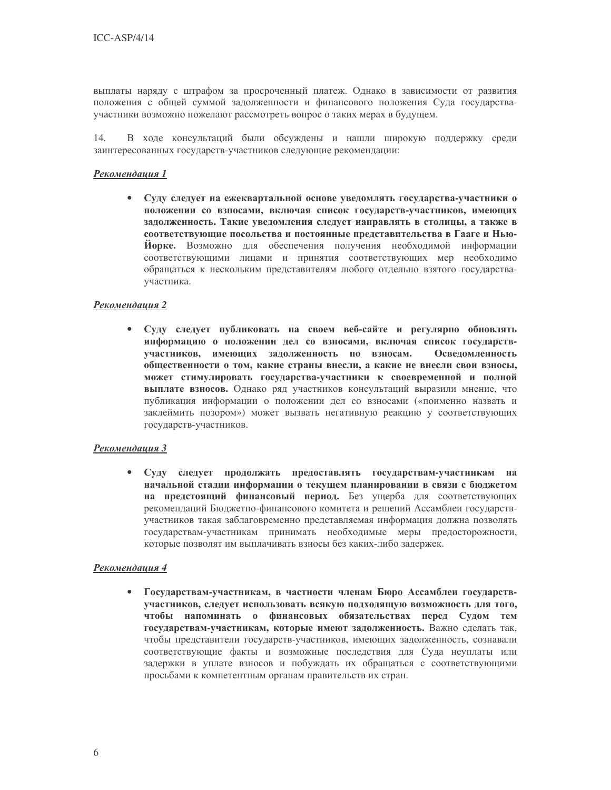выплаты наряду с штрафом за просроченный платеж. Однако в зависимости от развития положения с общей суммой задолженности и финансового положения Суда государстваучастники возможно пожелают рассмотреть вопрос о таких мерах в будущем.

 $14.$ В ходе консультаций были обсуждены и нашли широкую поддержку среди заинтересованных государств-участников следующие рекомендации:

### Рекомендация 1

Суду следует на ежеквартальной основе уведомлять государства-участники о положении со взносами, включая список государств-участников, имеющих задолженность. Такие уведомления следует направлять в столицы, а также в соответствующие посольства и постоянные представительства в Гааге и Нью-Йорке. Возможно для обеспечения получения необходимой информации соответствующими лицами и принятия соответствующих мер необходимо обращаться к нескольким представителям любого отдельно взятого государстваучастника.

### Рекомендация 2

Суду следует публиковать на своем веб-сайте и регулярно обновлять информацию о положении дел со взносами, включая список государствучастников, имеющих задолженность по взносам. Осведомленность общественности о том, какие страны внесли, а какие не внесли свои взносы, может стимулировать государства-участники к своевременной и полной выплате взносов. Однако ряд участников консультаций выразили мнение, что публикация информации о положении дел со взносами («поименно назвать и заклеймить позором») может вызвать негативную реакцию у соответствующих государств-участников.

#### Рекомендация 3

Суду следует продолжать предоставлять государствам-участникам на  $\bullet$ начальной стадии информации о текущем планировании в связи с бюджетом на предстоящий финансовый период. Без ущерба для соответствующих рекомендаций Бюджетно-финансового комитета и решений Ассамблеи государствучастников такая заблаговременно представляемая информация должна позволять государствам-участникам принимать необходимые меры предосторожности, которые позволят им выплачивать взносы без каких-либо задержек.

#### Рекомендация 4

Государствам-участникам, в частности членам Бюро Ассамблеи государствучастников, следует использовать всякую подходящую возможность для того, чтобы напоминать о финансовых обязательствах перед Судом тем государствам-участникам, которые имеют задолженность. Важно сделать так, чтобы представители государств-участников, имеющих задолженность, сознавали соответствующие факты и возможные последствия для Суда неуплаты или задержки в уплате взносов и побуждать их обращаться с соответствующими просьбами к компетентным органам правительств их стран.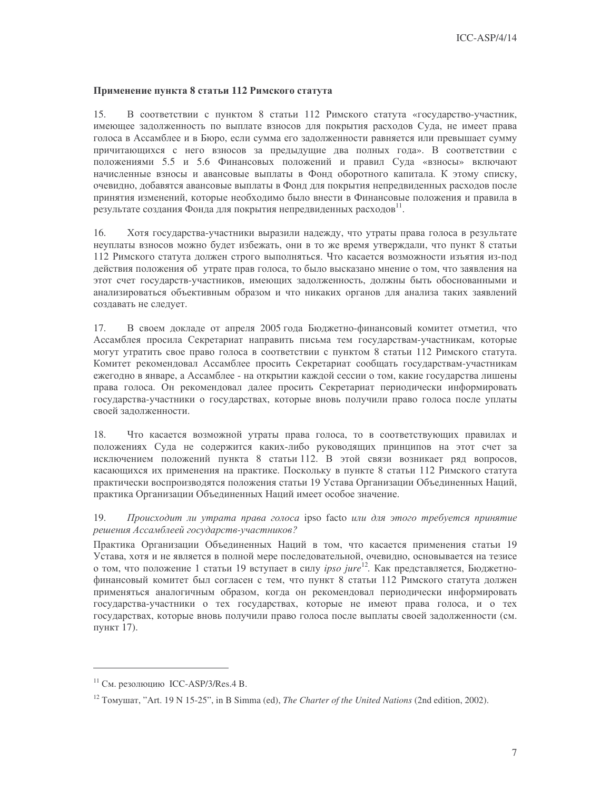### Применение пункта 8 статьи 112 Римского статута

 $15<sub>1</sub>$ В соответствии с пунктом 8 статьи 112 Римского статута «государство-участник, имеющее задолженность по выплате взносов для покрытия расходов Суда, не имеет права голоса в Ассамблее и в Бюро, если сумма его задолженности равняется или превышает сумму причитающихся с него взносов за предыдущие два полных года». В соответствии с положениями 5.5 и 5.6 Финансовых положений и правил Суда «взносы» включают начисленные взносы и авансовые выплаты в Фонд оборотного капитала. К этому списку, очевидно, добавятся авансовые выплаты в Фонд для покрытия непредвиденных расходов после принятия изменений, которые необходимо было внести в Финансовые положения и правила в результате создания Фонда для покрытия непредвиденных расходов<sup>11</sup>.

 $16.$ Хотя государства-участники выразили надежду, что утраты права голоса в результате неуплаты взносов можно будет избежать, они в то же время утверждали, что пункт 8 статьи 112 Римского статута должен строго выполняться. Что касается возможности изъятия из-под действия положения об утрате прав голоса, то было высказано мнение о том, что заявления на этот счет государств-участников, имеющих задолженность, должны быть обоснованными и анализироваться объективным образом и что никаких органов для анализа таких заявлений создавать не следует.

В своем докладе от апреля 2005 года Бюджетно-финансовый комитет отметил, что 17. Ассамблея просила Секретариат направить письма тем государствам-участникам, которые могут утратить свое право голоса в соответствии с пунктом 8 статьи 112 Римского статута. Комитет рекомендовал Ассамблее просить Секретариат сообщать государствам-участникам ежегодно в январе, а Ассамблее - на открытии каждой сессии о том, какие государства лишены права голоса. Он рекомендовал далее просить Секретариат периодически информировать государства-участники о государствах, которые вновь получили право голоса после уплаты своей залолженности.

Что касается возможной утраты права голоса, то в соответствующих правилах и 18. положениях Суда не содержится каких-либо руководящих принципов на этот счет за исключением положений пункта 8 статьи 112. В этой связи возникает ряд вопросов, касающихся их применения на практике. Поскольку в пункте 8 статьи 112 Римского статута практически воспроизводятся положения статьи 19 Устава Организации Объединенных Наций, практика Организации Объединенных Наций имеет особое значение.

19. Происходит ли утрата права голоса ipso facto или для этого требуется принятие решения Ассамблеей государств-участников?

Практика Организации Объединенных Наций в том, что касается применения статьи 19 Устава, хотя и не является в полной мере последовательной, очевидно, основывается на тезисе о том, что положение 1 статьи 19 вступает в силу *ipso jure*<sup>12</sup>. Как представляется, Бюджетнофинансовый комитет был согласен с тем, что пункт 8 статьи 112 Римского статута должен применяться аналогичным образом, когда он рекомендовал периодически информировать государства-участники о тех государствах, которые не имеют права голоса, и о тех государствах, которые вновь получили право голоса после выплаты своей задолженности (см. пункт 17).

 $11$  См. резолюцию ICC-ASP/3/Res.4 В.

<sup>&</sup>lt;sup>12</sup> Tomymar, "Art. 19 N 15-25", in B Simma (ed), *The Charter of the United Nations* (2nd edition, 2002).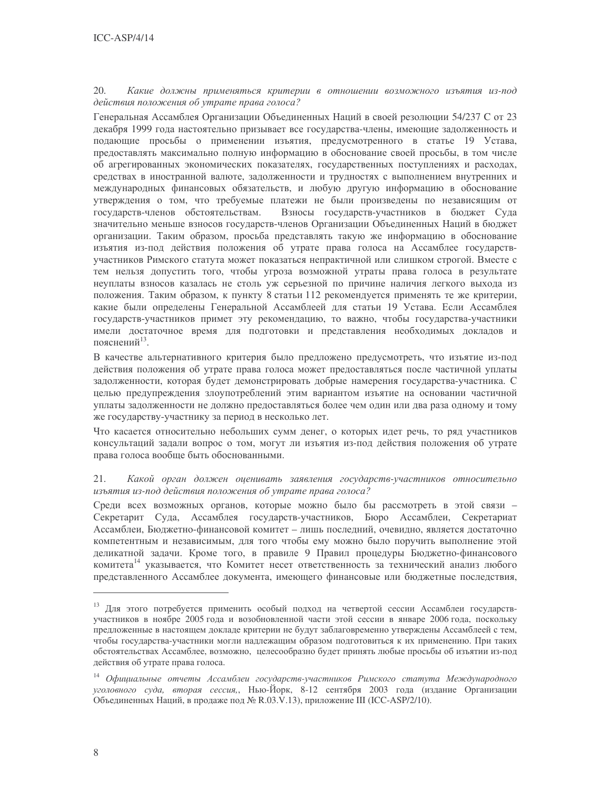#### 20. Какие должны применяться критерии в отношении возможного изъятия из-под действия положения об утрате права голоса?

Генеральная Ассамблея Организации Объединенных Наций в своей резолюции 54/237 С от 23 декабря 1999 года настоятельно призывает все государства-члены, имеющие задолженность и подающие просьбы о применении изъятия, предусмотренного в статье 19 Устава, предоставлять максимально полную информацию в обоснование своей просьбы, в том числе об агрегированных экономических показателях, государственных поступлениях и расходах, средствах в иностранной валюте, задолженности и трудностях с выполнением внутренних и международных финансовых обязательств, и любую другую информацию в обоснование утверждения о том, что требуемые платежи не были произведены по независящим от государств-членов обстоятельствам. Взносы государств-участников в бюджет Суда значительно меньше взносов государств-членов Организации Объединенных Наций в бюджет организации. Таким образом, просьба представлять такую же информацию в обоснование изъятия из-под действия положения об утрате права голоса на Ассамблее государствучастников Римского статута может показаться непрактичной или слишком строгой. Вместе с тем нельзя допустить того, чтобы угроза возможной утраты права голоса в результате неуплаты взносов казалась не столь уж серьезной по причине наличия легкого выхода из положения. Таким образом, к пункту 8 статьи 112 рекомендуется применять те же критерии, какие были определены Генеральной Ассамблеей для статьи 19 Устава. Если Ассамблея государств-участников примет эту рекомендацию, то важно, чтобы государства-участники имели достаточное время для подготовки и представления необходимых докладов и пояснений $^{13}$ .

В качестве альтернативного критерия было предложено предусмотреть, что изъятие из-под действия положения об утрате права голоса может предоставляться после частичной уплаты задолженности, которая будет демонстрировать добрые намерения государства-участника. С целью предупреждения злоупотреблений этим вариантом изъятие на основании частичной уплаты задолженности не должно предоставляться более чем один или два раза одному и тому же государству-участнику за период в несколько лет.

Что касается относительно небольших сумм денег, о которых идет речь, то ряд участников консультаций задали вопрос о том, могут ли изъятия из-под действия положения об утрате права голоса вообще быть обоснованными.

#### 21. Какой орган должен оценивать заявления государств-участников относительно изъятия из-под действия положения об утрате права голоса?

Среди всех возможных органов, которые можно было бы рассмотреть в этой связи -Секретарит Суда, Ассамблея государств-участников, Бюро Ассамблеи, Секретариат Ассамблеи, Бюджетно-финансовой комитет - лишь последний, очевидно, является достаточно компетентным и независимым, для того чтобы ему можно было поручить выполнение этой деликатной задачи. Кроме того, в правиле 9 Правил процедуры Бюджетно-финансового комитета<sup>14</sup> указывается, что Комитет несет ответственность за технический анализ любого представленного Ассамблее документа, имеющего финансовые или бюджетные последствия,

<sup>13</sup> Для этого потребуется применить особый подход на четвертой сессии Ассамблеи государствучастников в ноябре 2005 года и возобновленной части этой сессии в январе 2006 года, поскольку предложенные в настоящем докладе критерии не будут заблаговременно утверждены Ассамблеей с тем, чтобы государства-участники могли надлежащим образом подготовиться к их применению. При таких обстоятельствах Ассамблее, возможно, целесообразно будет принять любые просьбы об изъятии из-под действия об утрате права голоса.

<sup>&</sup>lt;sup>14</sup> Официальные отчеты Ассамблеи государств-участников Римского статута Международного уголовного суда, вторая сессия, Нью-Йорк, 8-12 сентября 2003 года (издание Организации Объединенных Наций, в продаже под № R.03.V.13), приложение III (ICC-ASP/2/10).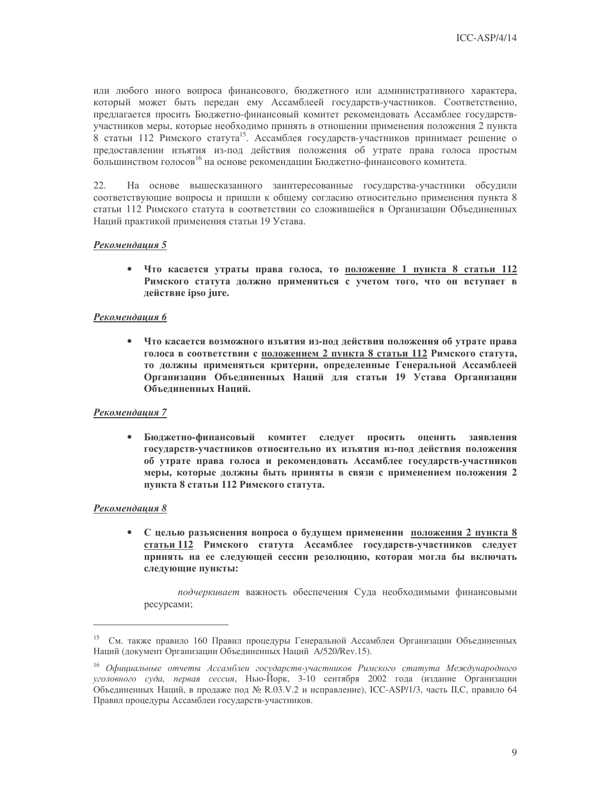или любого иного вопроса финансового, бюджетного или административного характера, который может быть передан ему Ассамблеей государств-участников. Соответственно, предлагается просить Бюджетно-финансовый комитет рекомендовать Ассамблее государствучастников меры, которые необходимо принять в отношении применения положения 2 пункта 8 статьи 112 Римского статута<sup>15</sup>. Ассамблея государств-участников принимает решение о предоставлении изъятия из-под действия положения об утрате права голоса простым большинством голосов<sup>16</sup> на основе рекомендации Бюджетно-финансового комитета.

22. На основе вышесказанного заинтересованные государства-участники обсудили соответствующие вопросы и пришли к общему согласию относительно применения пункта 8 статьи 112 Римского статута в соответствии со сложившейся в Организации Объединенных Наций практикой применения статьи 19 Устава.

#### Рекомендация 5

• Что касается утраты права голоса, то положение 1 пункта 8 статьи 112 Римского статута должно применяться с учетом того, что он вступает в действие ipso jure.

#### Рекомендация 6

 $\bullet$ Что касается возможного изъятия из-под действия положения об утрате права голоса в соответствии с положением 2 пункта 8 статьи 112 Римского статута, то должны применяться критерии, определенные Генеральной Ассамблеей Организации Объединенных Наций для статьи 19 Устава Организации Объединенных Наций.

#### Рекомендация 7

Бюджетно-финансовый комитет следует просить оценить заявления государств-участников относительно их изъятия из-под действия положения об утрате права голоса и рекомендовать Ассамблее государств-участников меры, которые должны быть приняты в связи с применением положения 2 пункта 8 статьи 112 Римского статута.

#### Рекомендация 8

С целью разъяснения вопроса о будущем применении положения 2 пункта 8  $\bullet$ статьи 112 Римского статута Ассамблее государств-участников следует принять на ее следующей сессии резолюцию, которая могла бы включать следующие пункты:

подчеркивает важность обеспечения Суда необходимыми финансовыми ресурсами;

<sup>15</sup> См. также правило 160 Правил процедуры Генеральной Ассамблеи Организации Объединенных Наций (документ Организации Объединенных Наций A/520/Rev.15).

<sup>&</sup>lt;sup>16</sup> Официальные отчеты Ассамблеи государств-участников Римского статута Международного уголовного суда, первая сессия, Нью-Йорк, 3-10 сентября 2002 года (издание Организации Объединенных Наций, в продаже под № R.03.V.2 и исправление), ICC-ASP/1/3, часть II,С, правило 64 Правил процедуры Ассамблеи государств-участников.